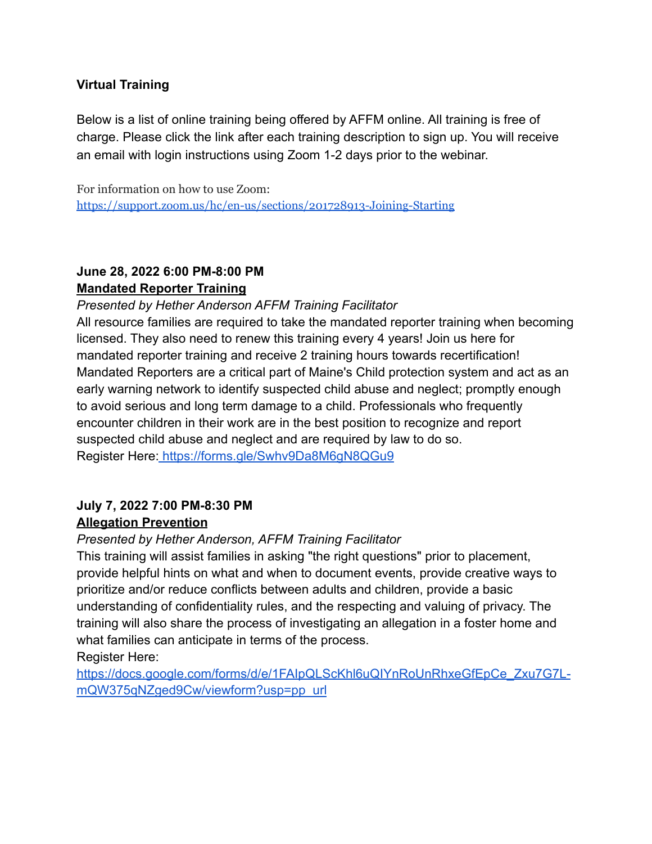#### **Virtual Training**

Below is a list of online training being offered by AFFM online. All training is free of charge. Please click the link after each training description to sign up. You will receive an email with login instructions using Zoom 1-2 days prior to the webinar.

For information on how to use Zoom: <https://support.zoom.us/hc/en-us/sections/201728913-Joining-Starting>

### **June 28, 2022 6:00 PM-8:00 PM Mandated Reporter Training**

#### *Presented by Hether Anderson AFFM Training Facilitator*

All resource families are required to take the mandated reporter training when becoming licensed. They also need to renew this training every 4 years! Join us here for mandated reporter training and receive 2 training hours towards recertification! Mandated Reporters are a critical part of Maine's Child protection system and act as an early warning network to identify suspected child abuse and neglect; promptly enough to avoid serious and long term damage to a child. Professionals who frequently encounter children in their work are in the best position to recognize and report suspected child abuse and neglect and are required by law to do so. Register Here: <https://forms.gle/Swhv9Da8M6gN8QGu9>

#### **July 7, 2022 7:00 PM-8:30 PM Allegation Prevention**

#### *Presented by Hether Anderson, AFFM Training Facilitator*

This training will assist families in asking "the right questions" prior to placement, provide helpful hints on what and when to document events, provide creative ways to prioritize and/or reduce conflicts between adults and children, provide a basic understanding of confidentiality rules, and the respecting and valuing of privacy. The training will also share the process of investigating an allegation in a foster home and what families can anticipate in terms of the process.

Register Here[:](https://forms.gle/Swhv9Da8M6gN8QGu9)

[https://docs.google.com/forms/d/e/1FAIpQLScKhl6uQIYnRoUnRhxeGfEpCe\\_Zxu7G7L](https://docs.google.com/forms/d/e/1FAIpQLScKhl6uQIYnRoUnRhxeGfEpCe_Zxu7G7L-mQW375qNZged9Cw/viewform?usp=pp_url)[mQW375qNZged9Cw/viewform?usp=pp\\_url](https://docs.google.com/forms/d/e/1FAIpQLScKhl6uQIYnRoUnRhxeGfEpCe_Zxu7G7L-mQW375qNZged9Cw/viewform?usp=pp_url)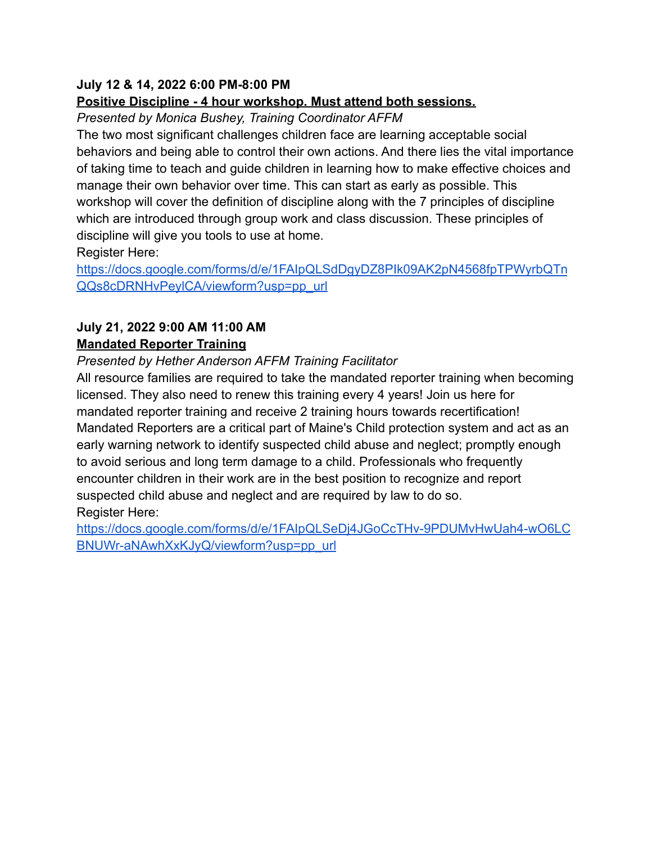#### **July 12 & 14, 2022 6:00 PM-8:00 PM**

#### **Positive Discipline - 4 hour workshop. Must attend both sessions.**

*Presented by Monica Bushey, Training Coordinator AFFM*

The two most significant challenges children face are learning acceptable social behaviors and being able to control their own actions. And there lies the vital importance of taking time to teach and guide children in learning how to make effective choices and manage their own behavior over time. This can start as early as possible. This workshop will cover the definition of discipline along with the 7 principles of discipline which are introduced through group work and class discussion. These principles of discipline will give you tools to use at home.

Register Here:

[https://docs.google.com/forms/d/e/1FAIpQLSdDgyDZ8PIk09AK2pN4568fpTPWyrbQTn](https://docs.google.com/forms/d/e/1FAIpQLSdDgyDZ8PIk09AK2pN4568fpTPWyrbQTnQQs8cDRNHvPeylCA/viewform?usp=pp_url) [QQs8cDRNHvPeylCA/viewform?usp=pp\\_url](https://docs.google.com/forms/d/e/1FAIpQLSdDgyDZ8PIk09AK2pN4568fpTPWyrbQTnQQs8cDRNHvPeylCA/viewform?usp=pp_url)

#### **July 21, 2022 9:00 AM 11:00 AM Mandated Reporter Training**

*Presented by Hether Anderson AFFM Training Facilitator*

All resource families are required to take the mandated reporter training when becoming licensed. They also need to renew this training every 4 years! Join us here for mandated reporter training and receive 2 training hours towards recertification! Mandated Reporters are a critical part of Maine's Child protection system and act as an early warning network to identify suspected child abuse and neglect; promptly enough to avoid serious and long term damage to a child. Professionals who frequently encounter children in their work are in the best position to recognize and report suspected child abuse and neglect and are required by law to do so. Register Here:

[https://docs.google.com/forms/d/e/1FAIpQLSeDj4JGoCcTHv-9PDUMvHwUah4-wO6LC](https://docs.google.com/forms/d/e/1FAIpQLSeDj4JGoCcTHv-9PDUMvHwUah4-wO6LCBNUWr-aNAwhXxKJyQ/viewform?usp=pp_url) [BNUWr-aNAwhXxKJyQ/viewform?usp=pp\\_url](https://docs.google.com/forms/d/e/1FAIpQLSeDj4JGoCcTHv-9PDUMvHwUah4-wO6LCBNUWr-aNAwhXxKJyQ/viewform?usp=pp_url)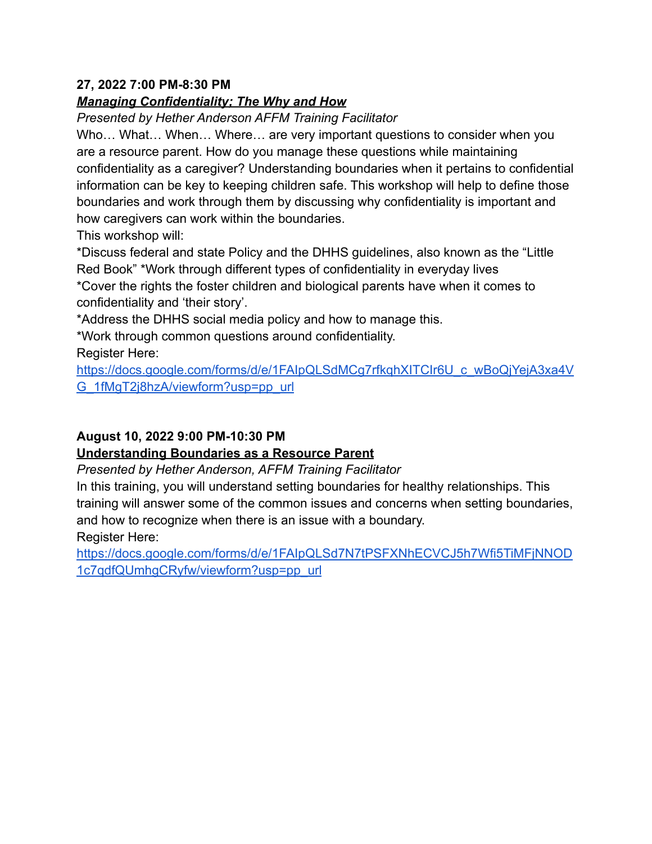#### **27, 2022 7:00 PM-8:30 PM**

#### *Managing Confidentiality; The Why and How*

*Presented by Hether Anderson AFFM Training Facilitator*

Who… What… When… Where… are very important questions to consider when you are a resource parent. How do you manage these questions while maintaining confidentiality as a caregiver? Understanding boundaries when it pertains to confidential information can be key to keeping children safe. This workshop will help to define those boundaries and work through them by discussing why confidentiality is important and how caregivers can work within the boundaries.

This workshop will:

\*Discuss federal and state Policy and the DHHS guidelines, also known as the "Little Red Book" \*Work through different types of confidentiality in everyday lives \*Cover the rights the foster children and biological parents have when it comes to confidentiality and 'their story'.

\*Address the DHHS social media policy and how to manage this.

\*Work through common questions around confidentiality.

Register Here:

https://docs.google.com/forms/d/e/1FAIpQLSdMCg7rfkghXITCIr6U\_c\_wBoQjYejA3xa4V [G\\_1fMgT2j8hzA/viewform?usp=pp\\_url](https://docs.google.com/forms/d/e/1FAIpQLSdMCg7rfkqhXITCIr6U_c_wBoQjYejA3xa4VG_1fMgT2j8hzA/viewform?usp=pp_url)

#### **August 10, 2022 9:00 PM-10:30 PM**

#### **Understanding Boundaries as a Resource Parent**

*Presented by Hether Anderson, AFFM Training Facilitator*

In this training, you will understand setting boundaries for healthy relationships. This training will answer some of the common issues and concerns when setting boundaries, and how to recognize when there is an issue with a boundary. Register Here:

[https://docs.google.com/forms/d/e/1FAIpQLSd7N7tPSFXNhECVCJ5h7Wfi5TiMFjNNOD](https://docs.google.com/forms/d/e/1FAIpQLSd7N7tPSFXNhECVCJ5h7Wfi5TiMFjNNOD1c7qdfQUmhgCRyfw/viewform?usp=pp_url) [1c7qdfQUmhgCRyfw/viewform?usp=pp\\_url](https://docs.google.com/forms/d/e/1FAIpQLSd7N7tPSFXNhECVCJ5h7Wfi5TiMFjNNOD1c7qdfQUmhgCRyfw/viewform?usp=pp_url)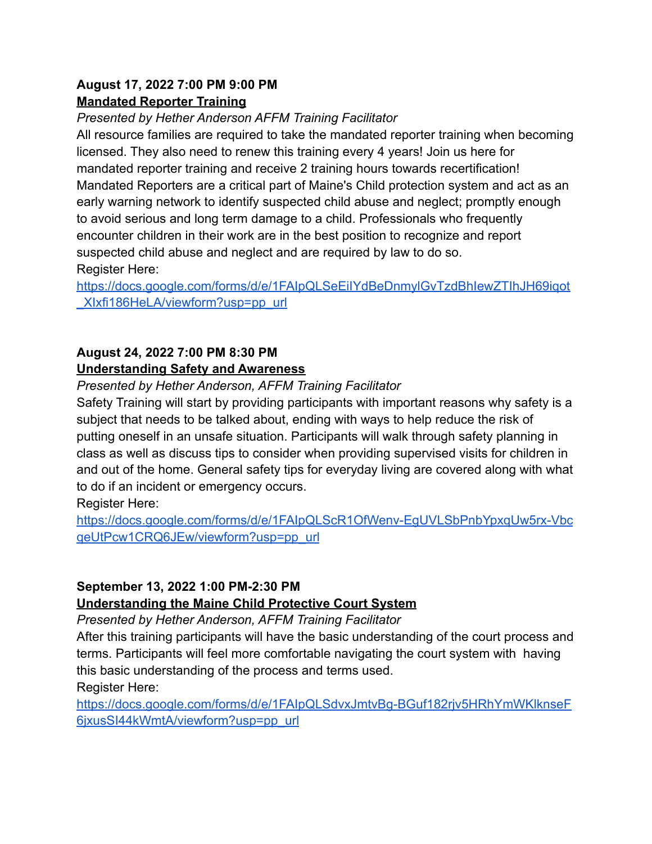#### **August 17, 2022 7:00 PM 9:00 PM Mandated Reporter Training**

*Presented by Hether Anderson AFFM Training Facilitator*

All resource families are required to take the mandated reporter training when becoming licensed. They also need to renew this training every 4 years! Join us here for mandated reporter training and receive 2 training hours towards recertification! Mandated Reporters are a critical part of Maine's Child protection system and act as an early warning network to identify suspected child abuse and neglect; promptly enough to avoid serious and long term damage to a child. Professionals who frequently encounter children in their work are in the best position to recognize and report suspected child abuse and neglect and are required by law to do so. Register Here:

[https://docs.google.com/forms/d/e/1FAIpQLSeEiIYdBeDnmylGvTzdBhIewZTIhJH69iqot](https://docs.google.com/forms/d/e/1FAIpQLSeEiIYdBeDnmylGvTzdBhIewZTIhJH69iqot_XIxfi186HeLA/viewform?usp=pp_url) [\\_XIxfi186HeLA/viewform?usp=pp\\_url](https://docs.google.com/forms/d/e/1FAIpQLSeEiIYdBeDnmylGvTzdBhIewZTIhJH69iqot_XIxfi186HeLA/viewform?usp=pp_url)

# **August 24, 2022 7:00 PM 8:30 PM**

## **Understanding Safety and Awareness**

*Presented by Hether Anderson, AFFM Training Facilitator*

Safety Training will start by providing participants with important reasons why safety is a subject that needs to be talked about, ending with ways to help reduce the risk of putting oneself in an unsafe situation. Participants will walk through safety planning in class as well as discuss tips to consider when providing supervised visits for children in and out of the home. General safety tips for everyday living are covered along with what to do if an incident or emergency occurs.

Register Here:

[https://docs.google.com/forms/d/e/1FAIpQLScR1OfWenv-EgUVLSbPnbYpxqUw5rx-Vbc](https://docs.google.com/forms/d/e/1FAIpQLScR1OfWenv-EgUVLSbPnbYpxqUw5rx-VbcqeUtPcw1CRQ6JEw/viewform?usp=pp_url) [qeUtPcw1CRQ6JEw/viewform?usp=pp\\_url](https://docs.google.com/forms/d/e/1FAIpQLScR1OfWenv-EgUVLSbPnbYpxqUw5rx-VbcqeUtPcw1CRQ6JEw/viewform?usp=pp_url)

# **September 13, 2022 1:00 PM-2:30 PM**

## **Understanding the Maine Child Protective Court System**

*Presented by Hether Anderson, AFFM Training Facilitator*

After this training participants will have the basic understanding of the court process and terms. Participants will feel more comfortable navigating the court system with having this basic understanding of the process and terms used. Register Here:

[https://docs.google.com/forms/d/e/1FAIpQLSdvxJmtvBg-BGuf182rjv5HRhYmWKlknseF](https://docs.google.com/forms/d/e/1FAIpQLSdvxJmtvBg-BGuf182rjv5HRhYmWKlknseF6jxusSI44kWmtA/viewform?usp=pp_url) [6jxusSI44kWmtA/viewform?usp=pp\\_url](https://docs.google.com/forms/d/e/1FAIpQLSdvxJmtvBg-BGuf182rjv5HRhYmWKlknseF6jxusSI44kWmtA/viewform?usp=pp_url)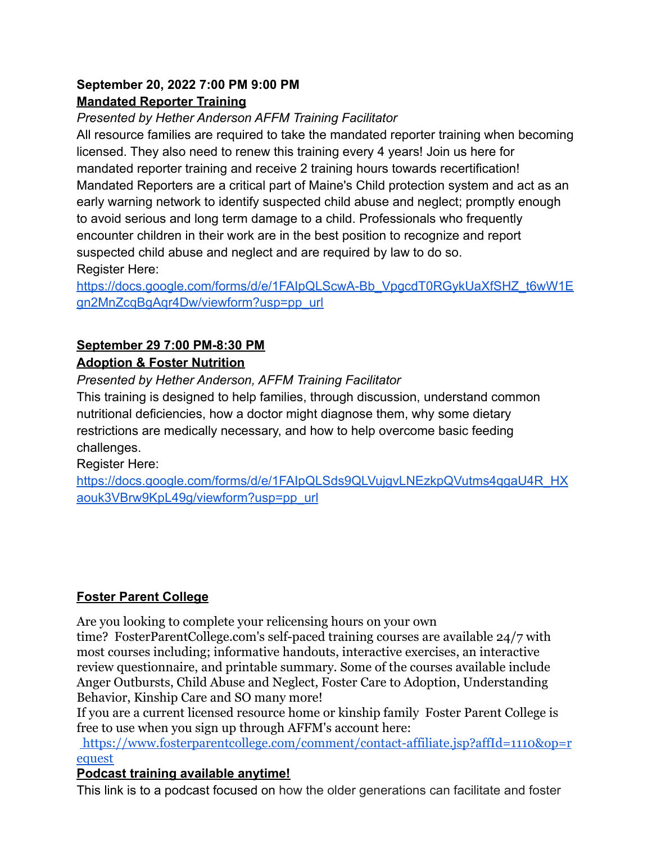#### **September 20, 2022 7:00 PM 9:00 PM Mandated Reporter Training**

*Presented by Hether Anderson AFFM Training Facilitator*

All resource families are required to take the mandated reporter training when becoming licensed. They also need to renew this training every 4 years! Join us here for mandated reporter training and receive 2 training hours towards recertification! Mandated Reporters are a critical part of Maine's Child protection system and act as an early warning network to identify suspected child abuse and neglect; promptly enough to avoid serious and long term damage to a child. Professionals who frequently encounter children in their work are in the best position to recognize and report suspected child abuse and neglect and are required by law to do so. Register Here:

[https://docs.google.com/forms/d/e/1FAIpQLScwA-Bb\\_VpgcdT0RGykUaXfSHZ\\_t6wW1E](https://docs.google.com/forms/d/e/1FAIpQLScwA-Bb_VpgcdT0RGykUaXfSHZ_t6wW1Egn2MnZcqBgAqr4Dw/viewform?usp=pp_url) [gn2MnZcqBgAqr4Dw/viewform?usp=pp\\_url](https://docs.google.com/forms/d/e/1FAIpQLScwA-Bb_VpgcdT0RGykUaXfSHZ_t6wW1Egn2MnZcqBgAqr4Dw/viewform?usp=pp_url)

# **September 29 7:00 PM-8:30 PM**

## **Adoption & Foster Nutrition**

*Presented by Hether Anderson, AFFM Training Facilitator*

This training is designed to help families, through discussion, understand common nutritional deficiencies, how a doctor might diagnose them, why some dietary restrictions are medically necessary, and how to help overcome basic feeding challenges.

Register Here:

[https://docs.google.com/forms/d/e/1FAIpQLSds9QLVujgvLNEzkpQVutms4qgaU4R\\_HX](https://docs.google.com/forms/d/e/1FAIpQLSds9QLVujgvLNEzkpQVutms4qgaU4R_HXaouk3VBrw9KpL49g/viewform?usp=pp_url) [aouk3VBrw9KpL49g/viewform?usp=pp\\_url](https://docs.google.com/forms/d/e/1FAIpQLSds9QLVujgvLNEzkpQVutms4qgaU4R_HXaouk3VBrw9KpL49g/viewform?usp=pp_url)

# **Foster Parent College**

Are you looking to complete your relicensing hours on your own time? FosterParentCollege.com's self-paced training courses are available 24/7 with most courses including; informative handouts, interactive exercises, an interactive review questionnaire, and printable summary. Some of the courses available include Anger Outbursts, Child Abuse and Neglect, Foster Care to Adoption, Understanding Behavior, Kinship Care and SO many more!

If you are a current licensed resource home or kinship family Foster Parent College is free to use when you sign up through AFFM's account here:

[https://www.fosterparentcollege.com/comment/contact-affiliate.jsp?affId=1110&op=r](https://www.fosterparentcollege.com/comment/contact-affiliate.jsp?affId=1110&op=request) [equest](https://www.fosterparentcollege.com/comment/contact-affiliate.jsp?affId=1110&op=request)

## **Podcast training available anytime!**

This link is to a podcast focused on how the older generations can facilitate and foster